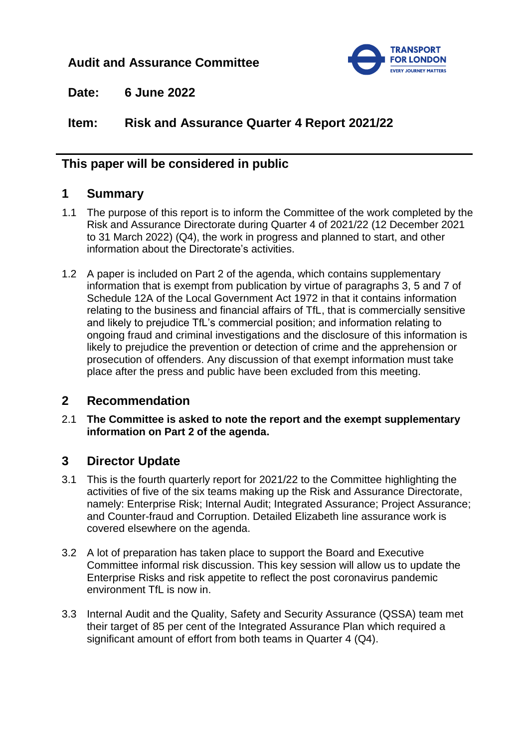# **Audit and Assurance Committee**



**Date: 6 June 2022**

**Item: Risk and Assurance Quarter 4 Report 2021/22**

## **This paper will be considered in public**

### **1 Summary**

- 1.1 The purpose of this report is to inform the Committee of the work completed by the Risk and Assurance Directorate during Quarter 4 of 2021/22 (12 December 2021 to 31 March 2022) (Q4), the work in progress and planned to start, and other information about the Directorate's activities.
- 1.2 A paper is included on Part 2 of the agenda, which contains supplementary information that is exempt from publication by virtue of paragraphs 3, 5 and 7 of Schedule 12A of the Local Government Act 1972 in that it contains information relating to the business and financial affairs of TfL, that is commercially sensitive and likely to prejudice TfL's commercial position; and information relating to ongoing fraud and criminal investigations and the disclosure of this information is likely to prejudice the prevention or detection of crime and the apprehension or prosecution of offenders. Any discussion of that exempt information must take place after the press and public have been excluded from this meeting.

## **2 Recommendation**

2.1 **The Committee is asked to note the report and the exempt supplementary information on Part 2 of the agenda.**

## **3 Director Update**

- 3.1 This is the fourth quarterly report for 2021/22 to the Committee highlighting the activities of five of the six teams making up the Risk and Assurance Directorate, namely: Enterprise Risk; Internal Audit; Integrated Assurance; Project Assurance; and Counter-fraud and Corruption. Detailed Elizabeth line assurance work is covered elsewhere on the agenda.
- 3.2 A lot of preparation has taken place to support the Board and Executive Committee informal risk discussion. This key session will allow us to update the Enterprise Risks and risk appetite to reflect the post coronavirus pandemic environment TfL is now in.
- 3.3 Internal Audit and the Quality, Safety and Security Assurance (QSSA) team met their target of 85 per cent of the Integrated Assurance Plan which required a significant amount of effort from both teams in Quarter 4 (Q4).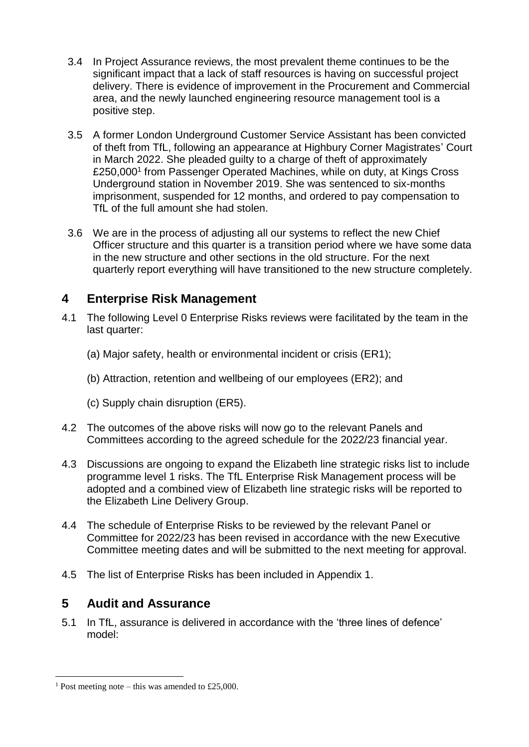- 3.4 In Project Assurance reviews, the most prevalent theme continues to be the significant impact that a lack of staff resources is having on successful project delivery. There is evidence of improvement in the Procurement and Commercial area, and the newly launched engineering resource management tool is a positive step.
- 3.5 A former London Underground Customer Service Assistant has been convicted of theft from TfL, following an appearance at Highbury Corner Magistrates' Court in March 2022. She pleaded guilty to a charge of theft of approximately £250,000<sup>1</sup> from Passenger Operated Machines, while on duty, at Kings Cross Underground station in November 2019. She was sentenced to six-months imprisonment, suspended for 12 months, and ordered to pay compensation to TfL of the full amount she had stolen.
- 3.6 We are in the process of adjusting all our systems to reflect the new Chief Officer structure and this quarter is a transition period where we have some data in the new structure and other sections in the old structure. For the next quarterly report everything will have transitioned to the new structure completely.

# **4 Enterprise Risk Management**

- 4.1 The following Level 0 Enterprise Risks reviews were facilitated by the team in the last quarter:
	- (a) Major safety, health or environmental incident or crisis (ER1);
	- (b) Attraction, retention and wellbeing of our employees (ER2); and
	- (c) Supply chain disruption (ER5).
- 4.2 The outcomes of the above risks will now go to the relevant Panels and Committees according to the agreed schedule for the 2022/23 financial year.
- 4.3 Discussions are ongoing to expand the Elizabeth line strategic risks list to include programme level 1 risks. The TfL Enterprise Risk Management process will be adopted and a combined view of Elizabeth line strategic risks will be reported to the Elizabeth Line Delivery Group.
- 4.4 The schedule of Enterprise Risks to be reviewed by the relevant Panel or Committee for 2022/23 has been revised in accordance with the new Executive Committee meeting dates and will be submitted to the next meeting for approval.
- 4.5 The list of Enterprise Risks has been included in Appendix 1.

## **5 Audit and Assurance**

5.1 In TfL, assurance is delivered in accordance with the 'three lines of defence' model:

 $\overline{a}$ 

<sup>&</sup>lt;sup>1</sup> Post meeting note – this was amended to £25,000.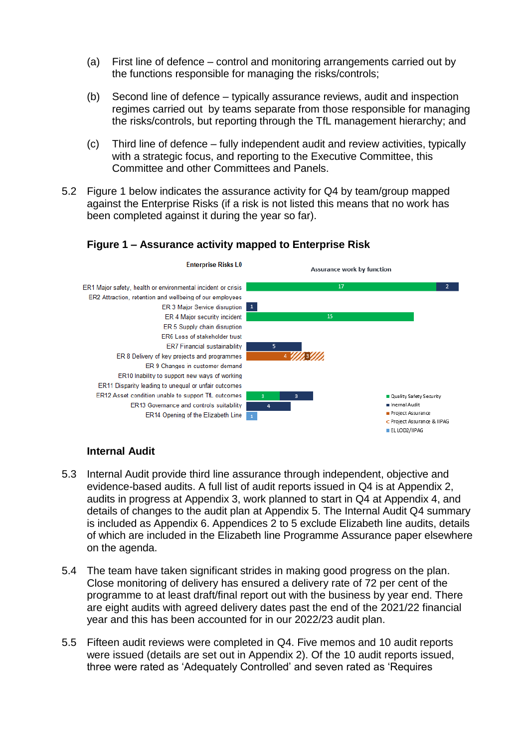- (a) First line of defence control and monitoring arrangements carried out by the functions responsible for managing the risks/controls;
- (b) Second line of defence typically assurance reviews, audit and inspection regimes carried out by teams separate from those responsible for managing the risks/controls, but reporting through the TfL management hierarchy; and
- (c) Third line of defence fully independent audit and review activities, typically with a strategic focus, and reporting to the Executive Committee, this Committee and other Committees and Panels.
- 5.2 Figure 1 below indicates the assurance activity for Q4 by team/group mapped against the Enterprise Risks (if a risk is not listed this means that no work has been completed against it during the year so far).

### **Figure 1 – Assurance activity mapped to Enterprise Risk**



### **Internal Audit**

- 5.3 Internal Audit provide third line assurance through independent, objective and evidence-based audits. A full list of audit reports issued in Q4 is at Appendix 2, audits in progress at Appendix 3, work planned to start in Q4 at Appendix 4, and details of changes to the audit plan at Appendix 5. The Internal Audit Q4 summary is included as Appendix 6. Appendices 2 to 5 exclude Elizabeth line audits, details of which are included in the Elizabeth line Programme Assurance paper elsewhere on the agenda.
- 5.4 The team have taken significant strides in making good progress on the plan. Close monitoring of delivery has ensured a delivery rate of 72 per cent of the programme to at least draft/final report out with the business by year end. There are eight audits with agreed delivery dates past the end of the 2021/22 financial year and this has been accounted for in our 2022/23 audit plan.
- 5.5 Fifteen audit reviews were completed in Q4. Five memos and 10 audit reports were issued (details are set out in Appendix 2). Of the 10 audit reports issued, three were rated as 'Adequately Controlled' and seven rated as 'Requires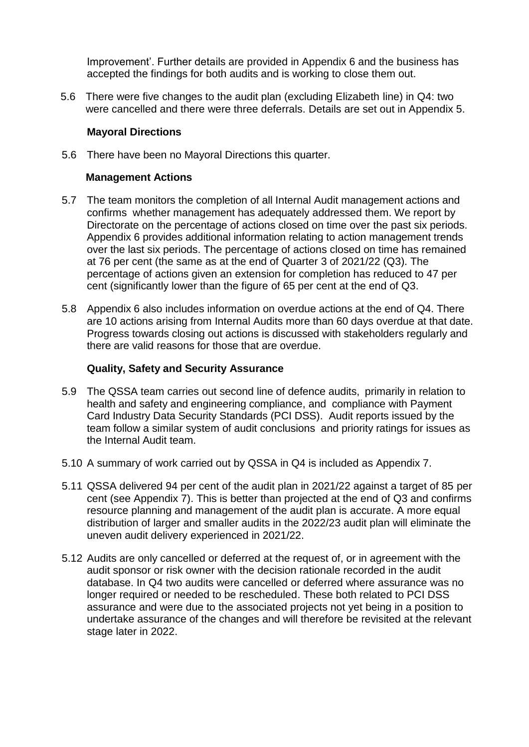Improvement'. Further details are provided in Appendix 6 and the business has accepted the findings for both audits and is working to close them out.

5.6 There were five changes to the audit plan (excluding Elizabeth line) in Q4: two were cancelled and there were three deferrals. Details are set out in Appendix 5.

### **Mayoral Directions**

5.6 There have been no Mayoral Directions this quarter.

#### **Management Actions**

- 5.7 The team monitors the completion of all Internal Audit management actions and confirms whether management has adequately addressed them. We report by Directorate on the percentage of actions closed on time over the past six periods. Appendix 6 provides additional information relating to action management trends over the last six periods. The percentage of actions closed on time has remained at 76 per cent (the same as at the end of Quarter 3 of 2021/22 (Q3). The percentage of actions given an extension for completion has reduced to 47 per cent (significantly lower than the figure of 65 per cent at the end of Q3.
- 5.8 Appendix 6 also includes information on overdue actions at the end of Q4. There are 10 actions arising from Internal Audits more than 60 days overdue at that date. Progress towards closing out actions is discussed with stakeholders regularly and there are valid reasons for those that are overdue.

#### **Quality, Safety and Security Assurance**

- 5.9 The QSSA team carries out second line of defence audits, primarily in relation to health and safety and engineering compliance, and compliance with Payment Card Industry Data Security Standards (PCI DSS). Audit reports issued by the team follow a similar system of audit conclusions and priority ratings for issues as the Internal Audit team.
- 5.10 A summary of work carried out by QSSA in Q4 is included as Appendix 7.
- 5.11 QSSA delivered 94 per cent of the audit plan in 2021/22 against a target of 85 per cent (see Appendix 7). This is better than projected at the end of Q3 and confirms resource planning and management of the audit plan is accurate. A more equal distribution of larger and smaller audits in the 2022/23 audit plan will eliminate the uneven audit delivery experienced in 2021/22.
- 5.12 Audits are only cancelled or deferred at the request of, or in agreement with the audit sponsor or risk owner with the decision rationale recorded in the audit database. In Q4 two audits were cancelled or deferred where assurance was no longer required or needed to be rescheduled. These both related to PCI DSS assurance and were due to the associated projects not yet being in a position to undertake assurance of the changes and will therefore be revisited at the relevant stage later in 2022.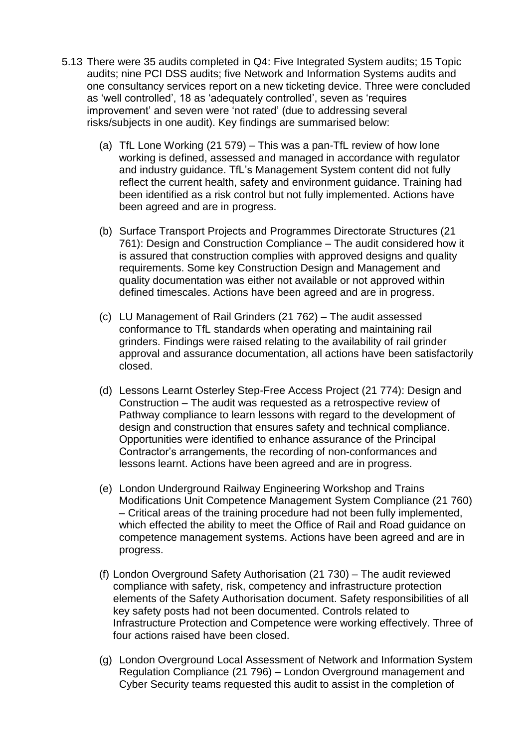- 5.13 There were 35 audits completed in Q4: Five Integrated System audits; 15 Topic audits; nine PCI DSS audits; five Network and Information Systems audits and one consultancy services report on a new ticketing device. Three were concluded as 'well controlled', 18 as 'adequately controlled', seven as 'requires improvement' and seven were 'not rated' (due to addressing several risks/subjects in one audit). Key findings are summarised below:
	- (a) TfL Lone Working (21 579) This was a pan-TfL review of how lone working is defined, assessed and managed in accordance with regulator and industry guidance. TfL's Management System content did not fully reflect the current health, safety and environment guidance. Training had been identified as a risk control but not fully implemented. Actions have been agreed and are in progress.
	- (b) Surface Transport Projects and Programmes Directorate Structures (21 761): Design and Construction Compliance – The audit considered how it is assured that construction complies with approved designs and quality requirements. Some key Construction Design and Management and quality documentation was either not available or not approved within defined timescales. Actions have been agreed and are in progress.
	- (c) LU Management of Rail Grinders (21 762) The audit assessed conformance to TfL standards when operating and maintaining rail grinders. Findings were raised relating to the availability of rail grinder approval and assurance documentation, all actions have been satisfactorily closed.
	- (d) Lessons Learnt Osterley Step-Free Access Project (21 774): Design and Construction – The audit was requested as a retrospective review of Pathway compliance to learn lessons with regard to the development of design and construction that ensures safety and technical compliance. Opportunities were identified to enhance assurance of the Principal Contractor's arrangements, the recording of non-conformances and lessons learnt. Actions have been agreed and are in progress.
	- (e) London Underground Railway Engineering Workshop and Trains Modifications Unit Competence Management System Compliance (21 760) – Critical areas of the training procedure had not been fully implemented, which effected the ability to meet the Office of Rail and Road guidance on competence management systems. Actions have been agreed and are in progress.
	- (f) London Overground Safety Authorisation (21 730) The audit reviewed compliance with safety, risk, competency and infrastructure protection elements of the Safety Authorisation document. Safety responsibilities of all key safety posts had not been documented. Controls related to Infrastructure Protection and Competence were working effectively. Three of four actions raised have been closed.
	- (g) London Overground Local Assessment of Network and Information System Regulation Compliance (21 796) – London Overground management and Cyber Security teams requested this audit to assist in the completion of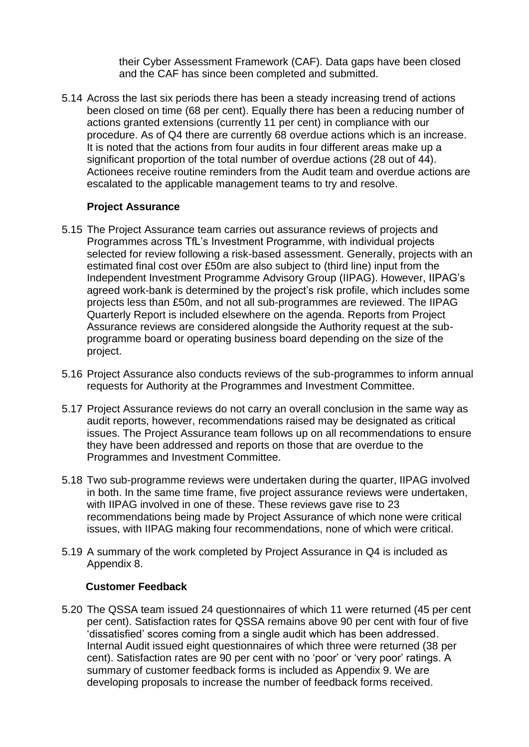their Cyber Assessment Framework (CAF). Data gaps have been closed and the CAF has since been completed and submitted.

5.14 Across the last six periods there has been a steady increasing trend of actions been closed on time (68 per cent). Equally there has been a reducing number of actions granted extensions (currently 11 per cent) in compliance with our procedure. As of Q4 there are currently 68 overdue actions which is an increase. It is noted that the actions from four audits in four different areas make up a significant proportion of the total number of overdue actions (28 out of 44). Actionees receive routine reminders from the Audit team and overdue actions are escalated to the applicable management teams to try and resolve.

#### **Project Assurance**

- 5.15 The Project Assurance team carries out assurance reviews of projects and Programmes across TfL's Investment Programme, with individual projects selected for review following a risk-based assessment. Generally, projects with an estimated final cost over £50m are also subject to (third line) input from the Independent Investment Programme Advisory Group (IIPAG). However, IIPAG's agreed work-bank is determined by the project's risk profile, which includes some projects less than £50m, and not all sub-programmes are reviewed. The IIPAG Quarterly Report is included elsewhere on the agenda. Reports from Project Assurance reviews are considered alongside the Authority request at the subprogramme board or operating business board depending on the size of the project.
- 5.16 Project Assurance also conducts reviews of the sub-programmes to inform annual requests for Authority at the Programmes and Investment Committee.
- 5.17 Project Assurance reviews do not carry an overall conclusion in the same way as audit reports, however, recommendations raised may be designated as critical issues. The Project Assurance team follows up on all recommendations to ensure they have been addressed and reports on those that are overdue to the Programmes and Investment Committee.
- 5.18 Two sub-programme reviews were undertaken during the quarter, IIPAG involved in both. In the same time frame, five project assurance reviews were undertaken, with IIPAG involved in one of these. These reviews gave rise to 23 recommendations being made by Project Assurance of which none were critical issues, with IIPAG making four recommendations, none of which were critical.
- 5.19 A summary of the work completed by Project Assurance in Q4 is included as Appendix 8.

### **Customer Feedback**

5.20 The QSSA team issued 24 questionnaires of which 11 were returned (45 per cent per cent). Satisfaction rates for QSSA remains above 90 per cent with four of five 'dissatisfied' scores coming from a single audit which has been addressed. Internal Audit issued eight questionnaires of which three were returned (38 per cent). Satisfaction rates are 90 per cent with no 'poor' or 'very poor' ratings. A summary of customer feedback forms is included as Appendix 9. We are developing proposals to increase the number of feedback forms received.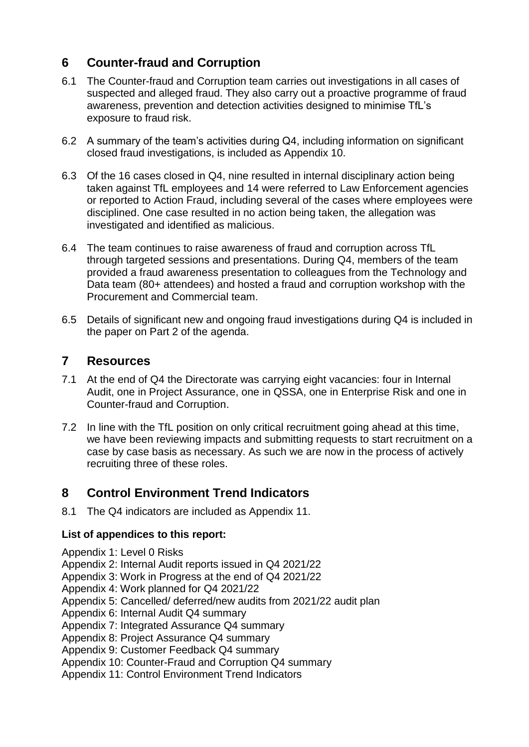# **6 Counter-fraud and Corruption**

- 6.1 The Counter-fraud and Corruption team carries out investigations in all cases of suspected and alleged fraud. They also carry out a proactive programme of fraud awareness, prevention and detection activities designed to minimise TfL's exposure to fraud risk.
- 6.2 A summary of the team's activities during Q4, including information on significant closed fraud investigations, is included as Appendix 10.
- 6.3 Of the 16 cases closed in Q4, nine resulted in internal disciplinary action being taken against TfL employees and 14 were referred to Law Enforcement agencies or reported to Action Fraud, including several of the cases where employees were disciplined. One case resulted in no action being taken, the allegation was investigated and identified as malicious.
- 6.4 The team continues to raise awareness of fraud and corruption across TfL through targeted sessions and presentations. During Q4, members of the team provided a fraud awareness presentation to colleagues from the Technology and Data team (80+ attendees) and hosted a fraud and corruption workshop with the Procurement and Commercial team.
- 6.5 Details of significant new and ongoing fraud investigations during Q4 is included in the paper on Part 2 of the agenda.

## **7 Resources**

- 7.1 At the end of Q4 the Directorate was carrying eight vacancies: four in Internal Audit, one in Project Assurance, one in QSSA, one in Enterprise Risk and one in Counter-fraud and Corruption.
- 7.2 In line with the TfL position on only critical recruitment going ahead at this time, we have been reviewing impacts and submitting requests to start recruitment on a case by case basis as necessary. As such we are now in the process of actively recruiting three of these roles.

# **8 Control Environment Trend Indicators**

8.1 The Q4 indicators are included as Appendix 11.

### **List of appendices to this report:**

- Appendix 1: Level 0 Risks
- Appendix 2: Internal Audit reports issued in Q4 2021/22
- Appendix 3: Work in Progress at the end of Q4 2021/22
- Appendix 4: Work planned for Q4 2021/22
- Appendix 5: Cancelled/ deferred/new audits from 2021/22 audit plan
- Appendix 6: Internal Audit Q4 summary
- Appendix 7: Integrated Assurance Q4 summary
- Appendix 8: Project Assurance Q4 summary
- Appendix 9: Customer Feedback Q4 summary
- Appendix 10: Counter-Fraud and Corruption Q4 summary
- Appendix 11: Control Environment Trend Indicators